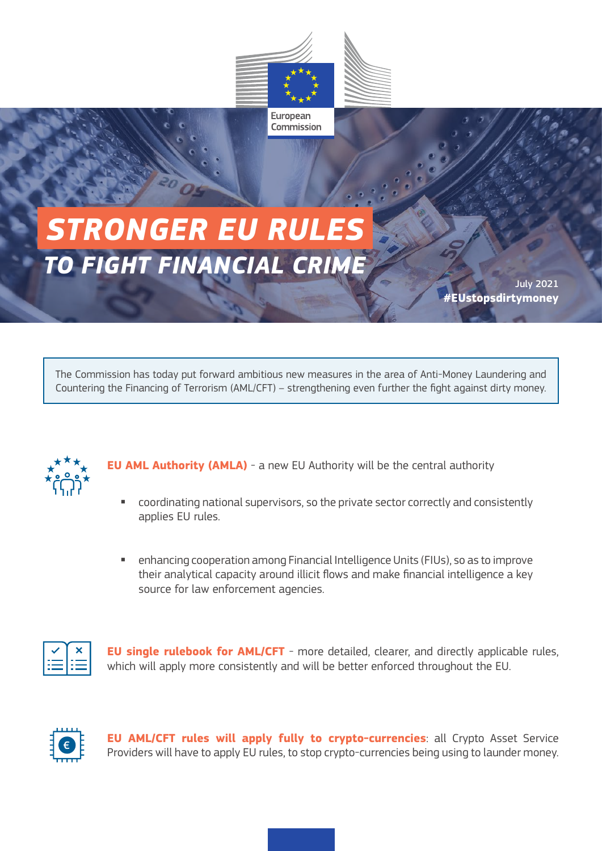

European Commission

## *TO FIGHT FINANCIAL CRIME STRONGER EU RULES*

July 2021 **#EUstopsdirtymoney**

The Commission has today put forward ambitious new measures in the area of Anti-Money Laundering and Countering the Financing of Terrorism (AML/CFT) – strengthening even further the fight against dirty money.



**EU AML Authority (AMLA)** - a new EU Authority will be the central authority

- coordinating national supervisors, so the private sector correctly and consistently applies EU rules.
- enhancing cooperation among Financial Intelligence Units (FIUs), so as to improve their analytical capacity around illicit flows and make financial intelligence a key source for law enforcement agencies.



**EU single rulebook for AML/CFT** - more detailed, clearer, and directly applicable rules, which will apply more consistently and will be better enforced throughout the EU.



**EU AML/CFT rules will apply fully to crypto-currencies**: all Crypto Asset Service Providers will have to apply EU rules, to stop crypto-currencies being using to launder money.